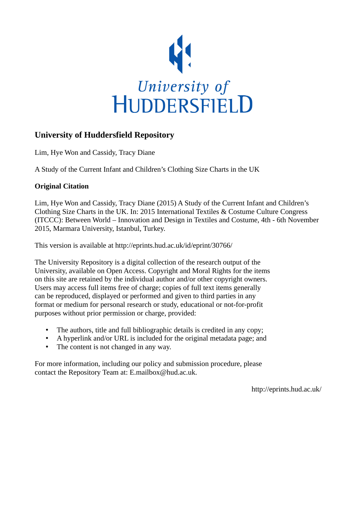

# **University of Huddersfield Repository**

Lim, Hye Won and Cassidy, Tracy Diane

A Study of the Current Infant and Children's Clothing Size Charts in the UK

# **Original Citation**

Lim, Hye Won and Cassidy, Tracy Diane (2015) A Study of the Current Infant and Children's Clothing Size Charts in the UK. In: 2015 International Textiles & Costume Culture Congress (ITCCC): Between World – Innovation and Design in Textiles and Costume, 4th - 6th November 2015, Marmara University, Istanbul, Turkey.

This version is available at http://eprints.hud.ac.uk/id/eprint/30766/

The University Repository is a digital collection of the research output of the University, available on Open Access. Copyright and Moral Rights for the items on this site are retained by the individual author and/or other copyright owners. Users may access full items free of charge; copies of full text items generally can be reproduced, displayed or performed and given to third parties in any format or medium for personal research or study, educational or not-for-profit purposes without prior permission or charge, provided:

- The authors, title and full bibliographic details is credited in any copy;
- A hyperlink and/or URL is included for the original metadata page; and
- The content is not changed in any way.

For more information, including our policy and submission procedure, please contact the Repository Team at: E.mailbox@hud.ac.uk.

http://eprints.hud.ac.uk/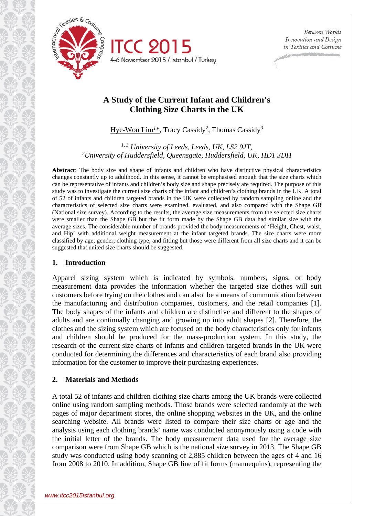

# **A Study of the Current Infant and Children's Clothing Size Charts in the UK**

Hye-Won Lim<sup>1\*</sup>, Tracy Cassidy<sup>2</sup>, Thomas Cassidy<sup>3</sup>

*1, 3 University of Leeds, Leeds, UK, LS2 9JT, 2University of Huddersfield, Queensgate, Huddersfield, UK, HD1 3DH*

**Abstract**: The body size and shape of infants and children who have distinctive physical characteristics changes constantly up to adulthood. In this sense, it cannot be emphasised enough that the size charts which can be representative of infants and children's body size and shape precisely are required. The purpose of this study was to investigate the current size charts of the infant and children's clothing brands in the UK. A total of 52 of infants and children targeted brands in the UK were collected by random sampling online and the characteristics of selected size charts were examined, evaluated, and also compared with the Shape GB (National size survey). According to the results, the average size measurements from the selected size charts were smaller than the Shape GB but the fit form made by the Shape GB data had similar size with the average sizes. The considerable number of brands provided the body measurements of 'Height, Chest, waist, and Hip' with additional weight measurement at the infant targeted brands. The size charts were more classified by age, gender, clothing type, and fitting but those were different from all size charts and it can be suggested that united size charts should be suggested.

#### **1. Introduction**

Apparel sizing system which is indicated by symbols, numbers, signs, or body measurement data provides the information whether the targeted size clothes will suit customers before trying on the clothes and can also be a means of communication between the manufacturing and distribution companies, customers, and the retail companies [1]. The body shapes of the infants and children are distinctive and different to the shapes of adults and are continually changing and growing up into adult shapes [2]. Therefore, the clothes and the sizing system which are focused on the body characteristics only for infants and children should be produced for the mass-production system. In this study, the research of the current size charts of infants and children targeted brands in the UK were conducted for determining the differences and characteristics of each brand also providing information for the customer to improve their purchasing experiences.

#### **2. Materials and Methods**

A total 52 of infants and children clothing size charts among the UK brands were collected online using random sampling methods. Those brands were selected randomly at the web pages of major department stores, the online shopping websites in the UK, and the online searching website. All brands were listed to compare their size charts or age and the analysis using each clothing brands' name was conducted anonymously using a code with the initial letter of the brands. The body measurement data used for the average size comparison were from Shape GB which is the national size survey in 2013. The Shape GB study was conducted using body scanning of 2,885 children between the ages of 4 and 16 from 2008 to 2010. In addition, Shape GB line of fit forms (mannequins), representing the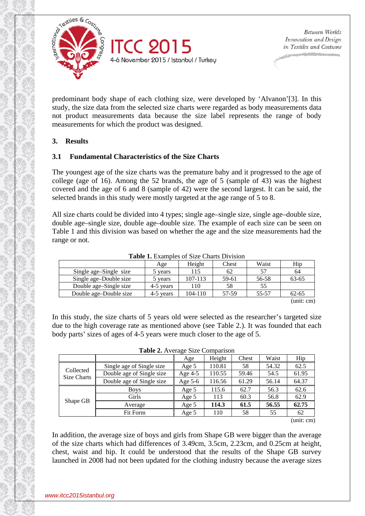

predominant body shape of each clothing size, were developed by 'Alvanon'[3]. In this study, the size data from the selected size charts were regarded as body measurements data not product measurements data because the size label represents the range of body measurements for which the product was designed.

# **3. Results**

# **3.1 Fundamental Characteristics of the Size Charts**

The youngest age of the size charts was the premature baby and it progressed to the age of college (age of 16). Among the 52 brands, the age of 5 (sample of 43) was the highest covered and the age of 6 and 8 (sample of 42) were the second largest. It can be said, the selected brands in this study were mostly targeted at the age range of 5 to 8.

All size charts could be divided into 4 types; single age–single size, single age–double size, double age–single size, double age–double size. The example of each size can be seen on Table 1 and this division was based on whether the age and the size measurements had the range or not.

|                        | Age       | Height  | Chest | Waist | Hip        |  |  |  |  |  |  |
|------------------------|-----------|---------|-------|-------|------------|--|--|--|--|--|--|
| Single age–Single size | 5 years   | 115     | 62    | .57   | 64         |  |  |  |  |  |  |
| Single age–Double size | 5 years   | 107-113 | 59-61 | 56-58 | 63-65      |  |  |  |  |  |  |
| Double age–Single size | 4-5 years | 110     | 58    | 55    |            |  |  |  |  |  |  |
| Double age–Double size | 4-5 years | 104-110 | 57-59 | 55-57 | $62 - 65$  |  |  |  |  |  |  |
|                        |           |         |       |       | (unit: cm) |  |  |  |  |  |  |

**Table 1.** Examples of Size Charts Division

In this study, the size charts of 5 years old were selected as the researcher's targeted size due to the high coverage rate as mentioned above (see Table 2.). It was founded that each body parts' sizes of ages of 4-5 years were much closer to the age of 5.

| <b>Table 2.</b> Average Size Comparison |                           |           |        |       |       |                      |  |  |  |
|-----------------------------------------|---------------------------|-----------|--------|-------|-------|----------------------|--|--|--|
|                                         |                           | Age       | Height | Chest | Waist | Hip                  |  |  |  |
| Collected<br>Size Charts                | Single age of Single size | Age 5     | 110.81 | 58    | 54.32 | 62.5                 |  |  |  |
|                                         | Double age of Single size | Age $4-5$ | 110.55 | 59.46 | 54.5  | 61.95                |  |  |  |
|                                         | Double age of Single size | Age $5-6$ | 116.56 | 61.29 | 56.14 | 64.37                |  |  |  |
| Shape GB                                | <b>Boys</b>               | Age $5$   | 115.6  | 62.7  | 56.3  | 62.6                 |  |  |  |
|                                         | Girls                     | Age 5     | 113    | 60.3  | 56.8  | 62.9                 |  |  |  |
|                                         | Average                   | Age 5     | 114.3  | 61.5  | 56.55 | 62.75                |  |  |  |
|                                         | Fit Form                  | Age 5     | 110    | 58    | 55    | 62                   |  |  |  |
|                                         |                           |           |        |       |       | $\sim$ $\sim$ $\sim$ |  |  |  |

**Table 2.** Average Size Comparison

(unit: cm)

In addition, the average size of boys and girls from Shape GB were bigger than the average of the size charts which had differences of 3.49cm, 3.5cm, 2.23cm, and 0.25cm at height, chest, waist and hip. It could be understood that the results of the Shape GB survey launched in 2008 had not been updated for the clothing industry because the average sizes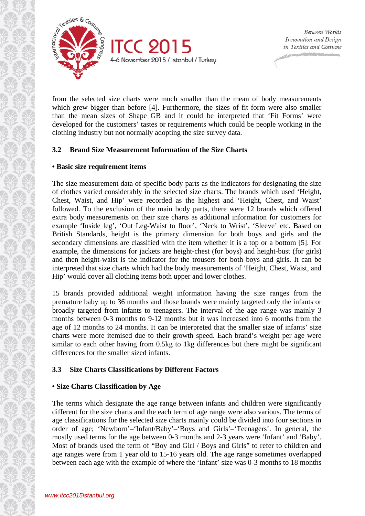

from the selected size charts were much smaller than the mean of body measurements which grew bigger than before [4]. Furthermore, the sizes of fit form were also smaller than the mean sizes of Shape GB and it could be interpreted that 'Fit Forms' were developed for the customers' tastes or requirements which could be people working in the clothing industry but not normally adopting the size survey data.

# **3.2 Brand Size Measurement Information of the Size Charts**

# **• Basic size requirement items**

The size measurement data of specific body parts as the indicators for designating the size of clothes varied considerably in the selected size charts. The brands which used 'Height, Chest, Waist, and Hip' were recorded as the highest and 'Height, Chest, and Waist' followed. To the exclusion of the main body parts, there were 12 brands which offered extra body measurements on their size charts as additional information for customers for example 'Inside leg', 'Out Leg-Waist to floor', 'Neck to Wrist', 'Sleeve' etc. Based on British Standards, height is the primary dimension for both boys and girls and the secondary dimensions are classified with the item whether it is a top or a bottom [5]. For example, the dimensions for jackets are height-chest (for boys) and height-bust (for girls) and then height-waist is the indicator for the trousers for both boys and girls. It can be interpreted that size charts which had the body measurements of 'Height, Chest, Waist, and Hip' would cover all clothing items both upper and lower clothes.

15 brands provided additional weight information having the size ranges from the premature baby up to 36 months and those brands were mainly targeted only the infants or broadly targeted from infants to teenagers. The interval of the age range was mainly 3 months between 0-3 months to 9-12 months but it was increased into 6 months from the age of 12 months to 24 months. It can be interpreted that the smaller size of infants' size charts were more itemised due to their growth speed. Each brand's weight per age were similar to each other having from 0.5kg to 1kg differences but there might be significant differences for the smaller sized infants.

# **3.3 Size Charts Classifications by Different Factors**

# **• Size Charts Classification by Age**

The terms which designate the age range between infants and children were significantly different for the size charts and the each term of age range were also various. The terms of age classifications for the selected size charts mainly could be divided into four sections in order of age; 'Newborn'–'Infant/Baby'–'Boys and Girls'–'Teenagers'. In general, the mostly used terms for the age between 0-3 months and 2-3 years were 'Infant' and 'Baby'. Most of brands used the term of "Boy and Girl / Boys and Girls" to refer to children and age ranges were from 1 year old to 15-16 years old. The age range sometimes overlapped between each age with the example of where the 'Infant' size was 0-3 months to 18 months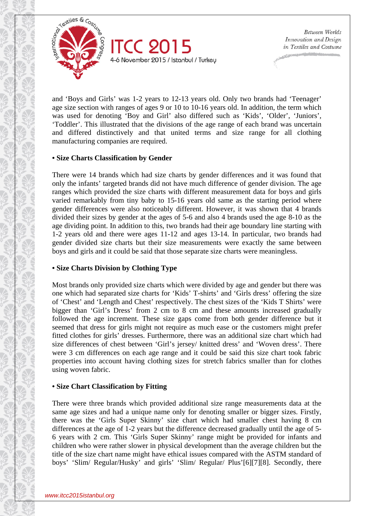

and 'Boys and Girls' was 1-2 years to 12-13 years old. Only two brands had 'Teenager' age size section with ranges of ages 9 or 10 to 10-16 years old. In addition, the term which was used for denoting 'Boy and Girl' also differed such as 'Kids', 'Older', 'Juniors', 'Toddler'. This illustrated that the divisions of the age range of each brand was uncertain and differed distinctively and that united terms and size range for all clothing manufacturing companies are required.

### **• Size Charts Classification by Gender**

There were 14 brands which had size charts by gender differences and it was found that only the infants' targeted brands did not have much difference of gender division. The age ranges which provided the size charts with different measurement data for boys and girls varied remarkably from tiny baby to 15-16 years old same as the starting period where gender differences were also noticeably different. However, it was shown that 4 brands divided their sizes by gender at the ages of 5-6 and also 4 brands used the age 8-10 as the age dividing point. In addition to this, two brands had their age boundary line starting with 1-2 years old and there were ages 11-12 and ages 13-14. In particular, two brands had gender divided size charts but their size measurements were exactly the same between boys and girls and it could be said that those separate size charts were meaningless.

# **• Size Charts Division by Clothing Type**

Most brands only provided size charts which were divided by age and gender but there was one which had separated size charts for 'Kids' T-shirts' and 'Girls dress' offering the size of 'Chest' and 'Length and Chest' respectively. The chest sizes of the 'Kids T Shirts' were bigger than 'Girl's Dress' from 2 cm to 8 cm and these amounts increased gradually followed the age increment. These size gaps come from both gender difference but it seemed that dress for girls might not require as much ease or the customers might prefer fitted clothes for girls' dresses. Furthermore, there was an additional size chart which had size differences of chest between 'Girl's jersey/ knitted dress' and 'Woven dress'. There were 3 cm differences on each age range and it could be said this size chart took fabric properties into account having clothing sizes for stretch fabrics smaller than for clothes using woven fabric.

# **• Size Chart Classification by Fitting**

There were three brands which provided additional size range measurements data at the same age sizes and had a unique name only for denoting smaller or bigger sizes. Firstly, there was the 'Girls Super Skinny' size chart which had smaller chest having 8 cm differences at the age of 1-2 years but the difference decreased gradually until the age of 5- 6 years with 2 cm. This 'Girls Super Skinny' range might be provided for infants and children who were rather slower in physical development than the average children but the title of the size chart name might have ethical issues compared with the ASTM standard of boys' 'Slim/ Regular/Husky' and girls' 'Slim/ Regular/ Plus'[6][7][8]. Secondly, there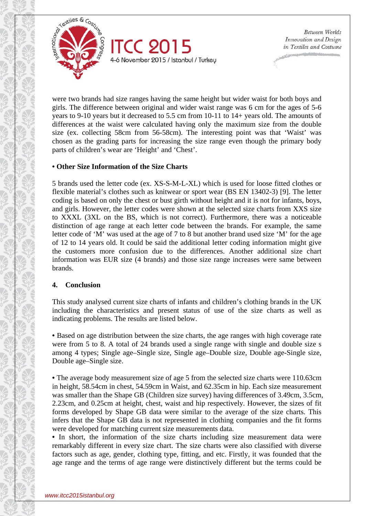

were two brands had size ranges having the same height but wider waist for both boys and girls. The difference between original and wider waist range was 6 cm for the ages of 5-6 years to 9-10 years but it decreased to 5.5 cm from 10-11 to 14+ years old. The amounts of differences at the waist were calculated having only the maximum size from the double size (ex. collecting 58cm from 56-58cm). The interesting point was that 'Waist' was chosen as the grading parts for increasing the size range even though the primary body parts of children's wear are 'Height' and 'Chest'.

# **• Other Size Information of the Size Charts**

5 brands used the letter code (ex. XS-S-M-L-XL) which is used for loose fitted clothes or flexible material's clothes such as knitwear or sport wear (BS EN 13402-3) [9]. The letter coding is based on only the chest or bust girth without height and it is not for infants, boys, and girls. However, the letter codes were shown at the selected size charts from XXS size to XXXL (3XL on the BS, which is not correct). Furthermore, there was a noticeable distinction of age range at each letter code between the brands. For example, the same letter code of 'M' was used at the age of 7 to 8 but another brand used size 'M' for the age of 12 to 14 years old. It could be said the additional letter coding information might give the customers more confusion due to the differences. Another additional size chart information was EUR size (4 brands) and those size range increases were same between brands.

# **4. Conclusion**

This study analysed current size charts of infants and children's clothing brands in the UK including the characteristics and present status of use of the size charts as well as indicating problems. The results are listed below.

**•** Based on age distribution between the size charts, the age ranges with high coverage rate were from 5 to 8. A total of 24 brands used a single range with single and double size s among 4 types; Single age–Single size, Single age–Double size, Double age-Single size, Double age–Single size.

**•** The average body measurement size of age 5 from the selected size charts were 110.63cm in height, 58.54cm in chest, 54.59cm in Waist, and 62.35cm in hip. Each size measurement was smaller than the Shape GB (Children size survey) having differences of 3.49cm, 3.5cm, 2.23cm, and 0.25cm at height, chest, waist and hip respectively. However, the sizes of fit forms developed by Shape GB data were similar to the average of the size charts. This infers that the Shape GB data is not represented in clothing companies and the fit forms were developed for matching current size measurements data.

**•** In short, the information of the size charts including size measurement data were remarkably different in every size chart. The size charts were also classified with diverse factors such as age, gender, clothing type, fitting, and etc. Firstly, it was founded that the age range and the terms of age range were distinctively different but the terms could be